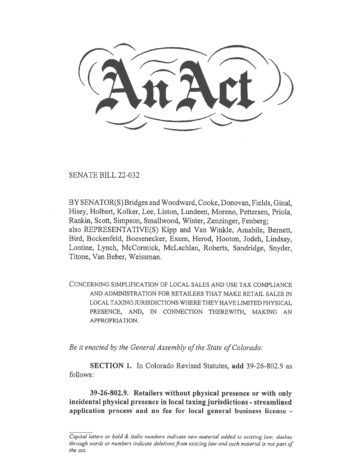SENATE BILL 22-032

BY SENATOR(S) Bridges and Woodward, Cooke, Donovan, Fields, Ginal, Hisey, Holbert, Kolker, Lee, Liston, Lundeen, Moreno, Pettersen, Priola, Rankin, Scott, Simpson, Smallwood, Winter, Zenzinger, Fenberg; also REPRESENTATIVE(S) Kipp and Van Winkle, Amabile, Bernett, Bird, Bockenfeld, Boesenecker, Exum, Herod, Hooton, Jodeh, Lindsay, Lontine, Lynch, McCormick, McLachlan, Roberts, Sandridge, Snyder, Titone, Van Beber, Weissman.

CONCERNING SIMPLIFICATION OF LOCAL SALES AND USE TAX COMPLIANCE AND ADMINISTRATION FOR RETAILERS THAT MAKE RETAIL SALES IN LOCAL TAXING JURISDICTIONS WHERE THEY HAVE LIMITED PHYSICAL PRESENCE, AND, IN CONNECTION THEREWITH, MAKING AN APPROPRIATION.

Be it enacted by the General Assembly of the State of Colorado:

SECTION 1. In Colorado Revised Statutes, add 39-26-802.9 as follows:

39-26-802.9. Retailers without physical presence or with only incidental physical presence in local taxing jurisdictions - streamlined application process and no fee for local general business license -

Capital letters or bold & italic numbers indicate new material added to existing law; dashes through words or numbers indicate deletions from existing law and such material is not part of the act.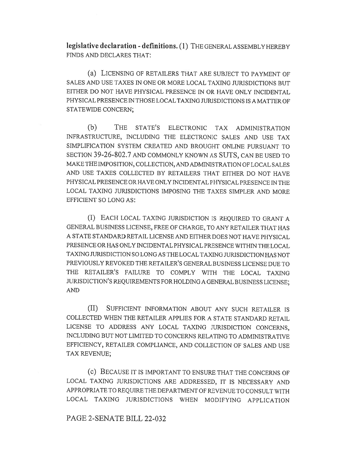legislative declaration - definitions. (1) THE GENERAL ASSEMBLY HEREBY FINDS AND DECLARES THAT:

(a) LICENSING OF RETAILERS THAT ARE SUBJECT TO PAYMENT OF SALES AND USE TAXES IN ONE OR MORE LOCAL TAXING JURISDICTIONS BUT EITHER DO NOT HAVE PHYSICAL PRESENCE IN OR HAVE ONLY INCIDENTAL PHYSICAL PRESENCE IN THOSE LOCAL TAXING JURISDICTIONS IS A MATTER OF STATEWIDE CONCERN;

(b) THE STATE'S ELECTRONIC TAX ADMINISTRATION INFRASTRUCTURE, INCLUDING THE ELECTRONIC SALES AND USE TAX SIMPLIFICATION SYSTEM CREATED AND BROUGHT ONLINE PURSUANT TO SECTION 39-26-802.7 AND COMMONLY KNOWN AS SUTS, CAN BE USED TO MAKE THE IMPOSITION, COLLECTION, AND ADMINISTRATION OF LOCAL SALES AND USE TAXES COLLECTED BY RETAILERS THAT EITHER DO NOT HAVE PHYSICAL PRESENCE OR HAVE ONLY INCIDENTAL PHYSICAL PRESENCE IN THE LOCAL TAXING JURISDICTIONS IMPOSING THE TAXES SIMPLER AND MORE EFFICIENT SO LONG AS:

(I) EACH LOCAL TAXING JURISDICTION IS REQUIRED TO GRANT A GENERAL BUSINESS LICENSE, FREE OF CHARGE, TO ANY RETAILER THAT HAS A STATE STANDARD RETAIL LICENSE AND EITHER DOES NOT HAVE PHYSICAL PRESENCE OR HAS ONLY INCIDENTAL PHYSICAL PRESENCE WITHIN THE LOCAL TAXING JURISDICTION SO LONG AS THE LOCAL TAXING JURISDICTION HAS NOT PREVIOUSLY REVOKED THE RETAILER'S GENERAL BUSINESS LICENSE DUE TO THE RETAILER'S FAILURE TO COMPLY WITH THE LOCAL TAXING JURISDICTION'S REQUIREMENTS FOR HOLDING A GENERAL BUSINESS LICENSE; AND

(II) SUFFICIENT INFORMATION ABOUT ANY SUCH RETAILER IS COLLECTED WHEN THE RETAILER APPLIES FOR A STATE STANDARD RETAIL LICENSE TO ADDRESS ANY LOCAL TAXING JURISDICTION CONCERNS, INCLUDING BUT NOT LIMITED TO CONCERNS RELATING TO ADMINISTRATIVE EFFICIENCY, RETAILER COMPLIANCE, AND COLLECTION OF SALES AND USE TAX REVENUE;

(c) BECAUSE IT IS IMPORTANT TO ENSURE THAT THE CONCERNS OF LOCAL TAXING JURISDICTIONS ARE ADDRESSED, IT IS NECESSARY AND APPROPRIATE TO REQUIRE THE DEPARTMENT OF REVENUE TO CONSULT WITH LOCAL TAXING JURISDICTIONS WHEN MODIFYING APPLICATION

## PAGE 2-SENATE BILL 22-032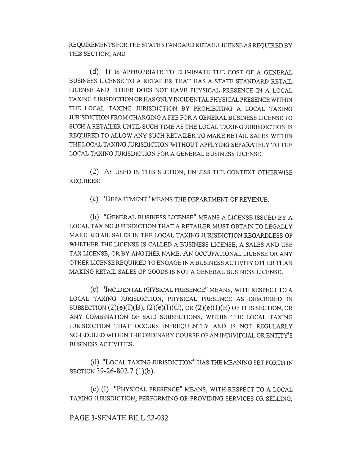REQUIREMENTS FOR THE STATE STANDARD RETAIL LICENSE AS REQUIRED BY THIS SECTION; AND

(d) IT IS APPROPRIATE TO ELIMINATE THE COST OF A GENERAL BUSINESS LICENSE TO A RETAILER THAT HAS A STATE STANDARD RETAIL LICENSE AND EITHER DOES NOT HAVE PHYSICAL PRESENCE IN A LOCAL TAXING JURISDICTION OR HAS ONLY INCIDENTAL PHYSICAL PRESENCE WITHIN THE LOCAL TAXING JURISDICTION BY PROHIBITING A LOCAL TAXING JURISDICTION FROM CHARGING A FEE FOR A GENERAL BUSINESS LICENSE TO SUCH A RETAILER UNTIL SUCH TIME AS THE LOCAL TAXING JURISDICTION IS REQUIRED TO ALLOW ANY SUCH RETAILER TO MAKE RETAIL SALES WITHIN THE LOCAL TAXING JURISDICTION WITHOUT APPLYING SEPARATELY TO THE LOCAL TAXING JURISDICTION FOR A GENERAL BUSINESS LICENSE.

(2) AS USED IN THIS SECTION, UNLESS THE CONTEXT OTHERWISE REQUIRES:

(a) "DEPARTMENT" MEANS THE DEPARTMENT OF REVENUE.

(b) "GENERAL BUSINESS LICENSE" MEANS A LICENSE ISSUED BY A LOCAL TAXING JURISDICTION THAT A RETAILER MUST OBTAIN TO LEGALLY MAKE RETAIL SALES IN THE LOCAL TAXING JURISDICTION REGARDLESS OF WHETHER THE LICENSE IS CALLED A BUSINESS LICENSE, A SALES AND USE TAX LICENSE, OR BY ANOTHER NAME. AN OCCUPATIONAL LICENSE OR ANY OTHER LICENSE REQUIRED TO ENGAGE IN A BUSINESS ACTIVITY OTHER THAN MAKING RETAIL SALES OF GOODS IS NOT A GENERAL BUSINESS LICENSE.

(C) "INCIDENTAL PHYSICAL PRESENCE" MEANS, WITH RESPECT TO A LOCAL TAXING JURISDICTION, PHYSICAL PRESENCE AS DESCRIBED IN SUBSECTION  $(2)(e)(I)(B)$ ,  $(2)(e)(I)(C)$ , OR  $(2)(e)(I)(E)$  OF THIS SECTION, OR ANY COMBINATION OF SAID SUBSECTIONS, WITHIN THE LOCAL TAXING JURISDICTION THAT OCCURS INFREQUENTLY AND IS NOT REGULARLY SCHEDULED WITHIN THE ORDINARY COURSE OF AN INDIVIDUAL OR ENTITY'S BUSINESS ACTIVITIES.

(d) "LOCAL TAXING JURISDICTION" HAS THE MEANING SET FORTH IN SECTION 39-26-802.7 (1)(b).

(e) (I) "PHYSICAL PRESENCE" MEANS, WITH RESPECT TO A LOCAL TAXING JURISDICTION, PERFORMING OR PROVIDING SERVICES OR SELLING,

PAGE 3-SENATE BILL 22-032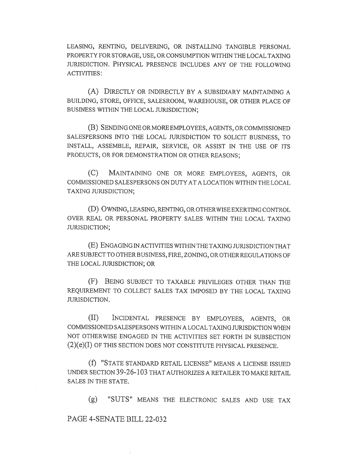LEASING, RENTING, DELIVERING, OR INSTALLING TANGIBLE PERSONAL PROPERTY FOR STORAGE, USE, OR CONSUMPTION WITHIN THE LOCAL TAXING JURISDICTION. PHYSICAL PRESENCE INCLUDES ANY OF THE FOLLOWING ACTIVITIES:

(A) DIRECTLY OR INDIRECTLY BY A SUBSIDIARY MAINTAINING A BUILDING, STORE, OFFICE, SALESROOM, WAREHOUSE, OR OTHER PLACE OF BUSINESS WITHIN THE LOCAL JURISDICTION;

(B) SENDING ONE OR MORE EMPLOYEES, AGENTS, OR COMMISSIONED SALESPERSONS INTO THE LOCAL JURISDICTION TO SOLICIT BUSINESS, TO INSTALL, ASSEMBLE, REPAIR, SERVICE, OR ASSIST IN THE USE OF ITS PRODUCTS, OR FOR DEMONSTRATION OR OTHER REASONS;

(C) MAINTAINING ONE OR MORE EMPLOYEES, AGENTS, OR COMMISSIONED SALESPERSONS ON DUTY AT A LOCATION WITHIN THE LOCAL TAXING JURISDICTION;

(D) OWNING, LEASING, RENTING, OR OTHERWISE EXERTING CONTROL OVER REAL OR PERSONAL PROPERTY SALES WITHIN THE LOCAL TAXING JURISDICTION;

(E) ENGAGING IN ACTIVITIES WITHIN THE TAXING JURISDICTION THAT ARE SUBJECT TO OTHER BUSINESS, FIRE, ZONING, OR OTHER REGULATIONS OF THE LOCAL JURISDICTION; OR

(F) BEING SUBJECT TO TAXABLE PRIVILEGES OTHER THAN THE REQUIREMENT TO COLLECT SALES TAX IMPOSED BY THE LOCAL TAXING JURISDICTION.

(II) INCIDENTAL PRESENCE BY EMPLOYEES, AGENTS, OR COMMISSIONED SALESPERSONS WITHIN A LOCAL TAXING JURISDICTION WHEN NOT OTHERWISE ENGAGED IN THE ACTIVITIES SET FORTH IN SUBSECTION (2)(e)(I) OF THIS SECTION DOES NOT CONSTITUTE PHYSICAL PRESENCE.

(f) "STATE STANDARD RETAIL LICENSE" MEANS A LICENSE ISSUED UNDER SECTION 39-26-103 THAT AUTHORIZES A RETAILER TO MAKE RETAIL SALES IN THE STATE.

(g) "SLITS" MEANS THE ELECTRONIC SALES AND USE TAX

## PAGE 4-SENATE BILL 22-032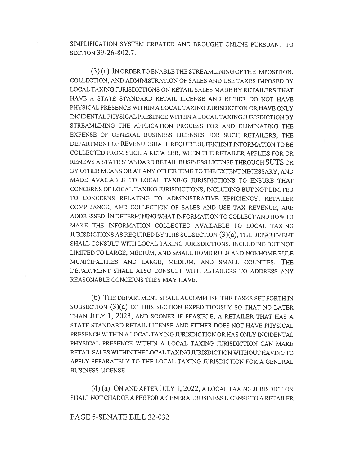SIMPLIFICATION SYSTEM CREATED AND BROUGHT ONLINE PURSUANT TO SECTION 39-26-802.7.

(3) (a) IN ORDER TO ENABLE THE STREAMLINING OF THE IMPOSITION, COLLECTION, AND ADMINISTRATION OF SALES AND USE TAXES IMPOSED BY LOCAL TAXING JURISDICTIONS ON RETAIL SALES MADE BY RETAILERS THAT HAVE A STATE STANDARD RETAIL LICENSE AND EITHER DO NOT HAVE PHYSICAL PRESENCE WITHIN A LOCAL TAXING JURISDICTION OR HAVE ONLY INCIDENTAL PHYSICAL PRESENCE WITHIN A LOCAL TAXING JURISDICTION BY STREAMLINING THE APPLICATION PROCESS FOR AND ELIMINATING THE EXPENSE OF GENERAL BUSINESS LICENSES FOR SUCH RETAILERS, THE DEPARTMENT OF REVENUE SHALL REQUIRE SUFFICIENT INFORMATION TO BE COLLECTED FROM SUCH A RETAILER, WHEN THE RETAILER APPLIES FOR OR RENEWS A STATE STANDARD RETAIL BUSINESS LICENSE THROUGH SUTS OR BY OTHER MEANS OR AT ANY OTHER TIME TO THE EXTENT NECESSARY, AND MADE AVAILABLE TO LOCAL TAXING JURISDICTIONS TO ENSURE THAT CONCERNS OF LOCAL TAXING JURISDICTIONS, INCLUDING BUT NOT LIMITED TO CONCERNS RELATING TO ADMINISTRATIVE EFFICIENCY, RETAILER COMPLIANCE, AND COLLECTION OF SALES AND USE TAX REVENUE, ARE ADDRESSED. IN DETERMINING WHAT INFORMATION TO COLLECT AND HOW TO MAKE THE INFORMATION COLLECTED AVAILABLE TO LOCAL TAXING JURISDICTIONS AS REQUIRED BY THIS SUBSECTION  $(3)(a)$ , THE DEPARTMENT SHALL CONSULT WITH LOCAL TAXING JURISDICTIONS, INCLUDING BUT NOT LIMITED TO LARGE, MEDIUM, AND SMALL HOME RULE AND NONHOME RULE MUNICIPALITIES AND LARGE, MEDIUM, AND SMALL COUNTIES. THE DEPARTMENT SHALL ALSO CONSULT WITH RETAILERS TO ADDRESS ANY REASONABLE CONCERNS THEY MAY HAVE.

(b) THE DEPARTMENT SHALL ACCOMPLISH THE TASKS SET FORTH IN SUBSECTION (3)(a) OF THIS SECTION EXPEDITIOUSLY SO THAT NO LATER THAN JULY 1, 2023, AND SOONER IF FEASIBLE, A RETAILER THAT HAS A STATE STANDARD RETAIL LICENSE AND EITHER DOES NOT HAVE PHYSICAL PRESENCE WITHIN A LOCAL TAXING JURISDICTION OR HAS ONLY INCIDENTAL PHYSICAL PRESENCE WITHIN A LOCAL TAXING JURISDICTION CAN MAKE RETAIL SALES WITHIN THE LOCAL TAXING JURISDICTION WITHOUT HAVING TO APPLY SEPARATELY TO THE LOCAL TAXING JURISDICTION FOR A GENERAL BUSINESS LICENSE.

(4) (a) ON AND AFTER JULY 1, 2022, A LOCAL TAXING JURISDICTION SHALL NOT CHARGE A FEE FOR A GENERAL BUSINESS LICENSE TO A RETAILER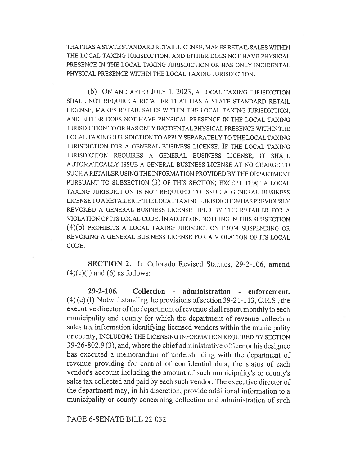THAT HAS A STATE STANDARD RETAIL LICENSE, MAKES RETAIL SALES WITHIN THE LOCAL TAXING JURISDICTION, AND EITHER DOES NOT HAVE PHYSICAL PRESENCE IN THE LOCAL TAXING JURISDICTION OR HAS ONLY INCIDENTAL PHYSICAL PRESENCE WITHIN THE LOCAL TAXING JURISDICTION.

(b) ON AND AFTER JULY 1, 2023, A LOCAL TAXING JURISDICTION SHALL NOT REQUIRE A RETAILER THAT HAS A STATE STANDARD RETAIL LICENSE, MAKES RETAIL SALES WITHIN THE LOCAL TAXING JURISDICTION, AND EITHER DOES NOT HAVE PHYSICAL PRESENCE IN THE LOCAL TAXING JURISDICTION TO OR HAS ONLY INCIDENTAL PHYSICAL PRESENCE WITHIN THE LOCAL TAXING JURISDICTION TO APPLY SEPARATELY TO THE LOCAL TAXING JURISDICTION FOR A GENERAL BUSINESS LICENSE. IF THE LOCAL TAXING JURISDICTION REQUIRES A GENERAL BUSINESS LICENSE, IT SHALL AUTOMATICALLY ISSUE A GENERAL BUSINESS LICENSE AT NO CHARGE TO SUCH A RETAILER USING THE INFORMATION PROVIDED BY THE DEPARTMENT PURSUANT TO SUBSECTION (3) OF THIS SECTION; EXCEPT THAT A LOCAL TAXING JURISDICTION IS NOT REQUIRED TO ISSUE A GENERAL BUSINESS LICENSE TO A RETAILER IF THE LOCAL TAXING JURISDICTION HAS PREVIOUSLY REVOKED A GENERAL BUSINESS LICENSE HELD BY THE RETAILER FOR A VIOLATION OF ITS LOCAL CODE. IN ADDITION, NOTHING IN THIS SUBSECTION (4)(b) PROHIBITS A LOCAL TAXING JURISDICTION FROM SUSPENDING OR REVOKING A GENERAL BUSINESS LICENSE FOR A VIOLATION OF ITS LOCAL CODE.

SECTION 2. In Colorado Revised Statutes, 29-2-106, amend  $(4)(c)(I)$  and  $(6)$  as follows:

29-2-106. Collection - administration - enforcement. (4) (c) (I) Notwithstanding the provisions of section 39-21-113,  $C.R.S.,$  the executive director of the department of revenue shall report monthly to each municipality and county for which the department of revenue collects a sales tax information identifying licensed vendors within the municipality or county, INCLUDING THE LICENSING INFORMATION REQUIRED BY SECTION 39-26-802.9 (3), and, where the chief administrative officer or his designee has executed a memorandum of understanding with the department of revenue providing for control of confidential data, the status of each vendor's account including the amount of such municipality's or county's sales tax collected and paid by each such vendor. The executive director of the department may, in his discretion, provide additional information to a municipality or county concerning collection and administration of such

PAGE 6-SENATE BILL 22-032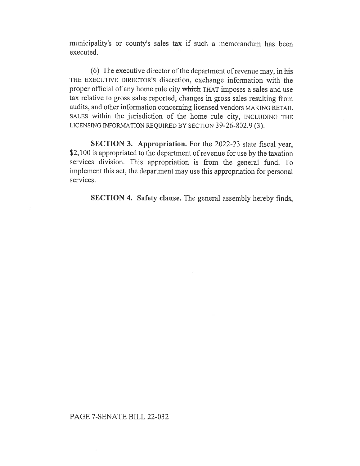municipality's or county's sales tax if such a memorandum has been executed.

(6) The executive director of the department of revenue may, in his THE EXECUTIVE DIRECTOR'S discretion, exchange information with the proper official of any home rule city which THAT imposes a sales and use tax relative to gross sales reported, changes in gross sales resulting from audits, and other information concerning licensed vendors MAKING RETAIL SALES within the jurisdiction of the home rule city, INCLUDING THE LICENSING INFORMATION REQUIRED BY SECTION 39-26-802.9 (3).

SECTION 3. Appropriation. For the 2022-23 state fiscal year, \$2,100 is appropriated to the department of revenue for use by the taxation services division. This appropriation is from the general fund. To implement this act, the department may use this appropriation for personal services.

SECTION 4. Safety clause. The general assembly hereby finds,

## PAGE 7-SENATE BILL 22-032